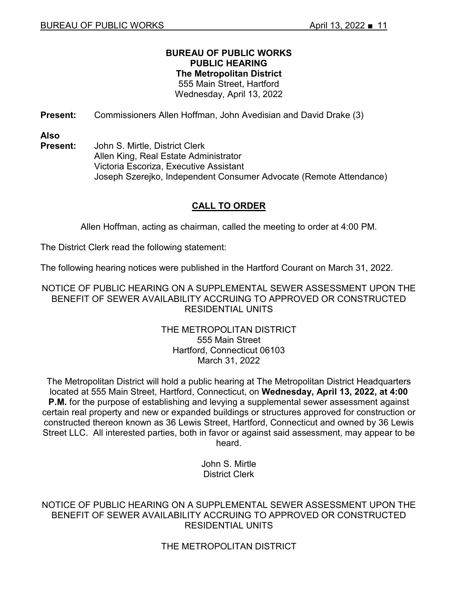# **BUREAU OF PUBLIC WORKS PUBLIC HEARING The Metropolitan District** 555 Main Street, Hartford

Wednesday, April 13, 2022

**Present:** Commissioners Allen Hoffman, John Avedisian and David Drake (3)

**Also** 

**Present:** John S. Mirtle, District Clerk Allen King, Real Estate Administrator Victoria Escoriza, Executive Assistant Joseph Szerejko, Independent Consumer Advocate (Remote Attendance)

# **CALL TO ORDER**

Allen Hoffman, acting as chairman, called the meeting to order at 4:00 PM.

The District Clerk read the following statement:

The following hearing notices were published in the Hartford Courant on March 31, 2022.

NOTICE OF PUBLIC HEARING ON A SUPPLEMENTAL SEWER ASSESSMENT UPON THE BENEFIT OF SEWER AVAILABILITY ACCRUING TO APPROVED OR CONSTRUCTED RESIDENTIAL UNITS

# THE METROPOLITAN DISTRICT 555 Main Street Hartford, Connecticut 06103 March 31, 2022

The Metropolitan District will hold a public hearing at The Metropolitan District Headquarters located at 555 Main Street, Hartford, Connecticut, on **Wednesday, April 13, 2022, at 4:00 P.M.** for the purpose of establishing and levying a supplemental sewer assessment against certain real property and new or expanded buildings or structures approved for construction or constructed thereon known as 36 Lewis Street, Hartford, Connecticut and owned by 36 Lewis Street LLC. All interested parties, both in favor or against said assessment, may appear to be heard.

> John S. Mirtle District Clerk

NOTICE OF PUBLIC HEARING ON A SUPPLEMENTAL SEWER ASSESSMENT UPON THE BENEFIT OF SEWER AVAILABILITY ACCRUING TO APPROVED OR CONSTRUCTED RESIDENTIAL UNITS

THE METROPOLITAN DISTRICT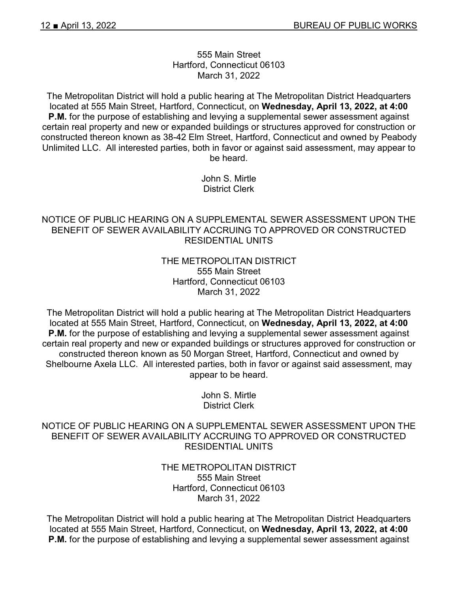#### 555 Main Street Hartford, Connecticut 06103 March 31, 2022

The Metropolitan District will hold a public hearing at The Metropolitan District Headquarters located at 555 Main Street, Hartford, Connecticut, on **Wednesday, April 13, 2022, at 4:00 P.M.** for the purpose of establishing and levying a supplemental sewer assessment against certain real property and new or expanded buildings or structures approved for construction or constructed thereon known as 38-42 Elm Street, Hartford, Connecticut and owned by Peabody Unlimited LLC. All interested parties, both in favor or against said assessment, may appear to be heard.

> John S. Mirtle District Clerk

# NOTICE OF PUBLIC HEARING ON A SUPPLEMENTAL SEWER ASSESSMENT UPON THE BENEFIT OF SEWER AVAILABILITY ACCRUING TO APPROVED OR CONSTRUCTED RESIDENTIAL UNITS

# THE METROPOLITAN DISTRICT 555 Main Street Hartford, Connecticut 06103 March 31, 2022

The Metropolitan District will hold a public hearing at The Metropolitan District Headquarters located at 555 Main Street, Hartford, Connecticut, on **Wednesday, April 13, 2022, at 4:00 P.M.** for the purpose of establishing and levying a supplemental sewer assessment against certain real property and new or expanded buildings or structures approved for construction or constructed thereon known as 50 Morgan Street, Hartford, Connecticut and owned by Shelbourne Axela LLC. All interested parties, both in favor or against said assessment, may appear to be heard.

> John S. Mirtle District Clerk

# NOTICE OF PUBLIC HEARING ON A SUPPLEMENTAL SEWER ASSESSMENT UPON THE BENEFIT OF SEWER AVAILABILITY ACCRUING TO APPROVED OR CONSTRUCTED RESIDENTIAL UNITS

# THE METROPOLITAN DISTRICT 555 Main Street Hartford, Connecticut 06103 March 31, 2022

The Metropolitan District will hold a public hearing at The Metropolitan District Headquarters located at 555 Main Street, Hartford, Connecticut, on **Wednesday, April 13, 2022, at 4:00 P.M.** for the purpose of establishing and levying a supplemental sewer assessment against